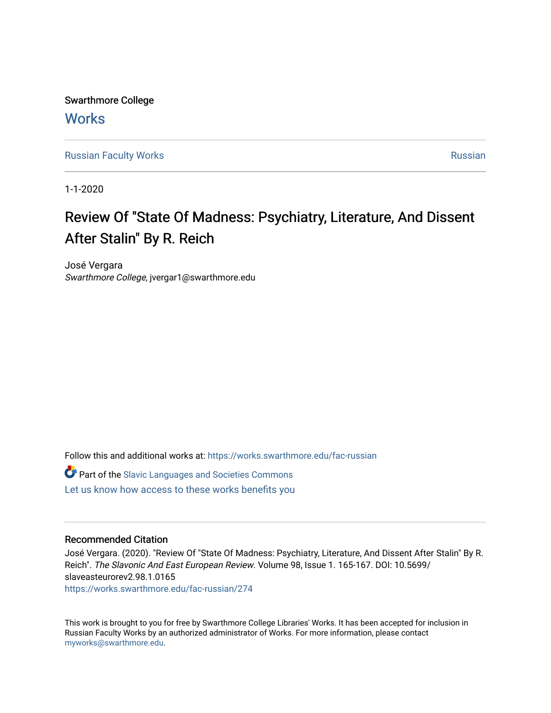Swarthmore College **Works** 

[Russian Faculty Works](https://works.swarthmore.edu/fac-russian) **Russian** [Russian](https://works.swarthmore.edu/russian) Russian Russian

1-1-2020

# Review Of "State Of Madness: Psychiatry, Literature, And Dissent After Stalin" By R. Reich

José Vergara Swarthmore College, jvergar1@swarthmore.edu

Follow this and additional works at: [https://works.swarthmore.edu/fac-russian](https://works.swarthmore.edu/fac-russian?utm_source=works.swarthmore.edu%2Ffac-russian%2F274&utm_medium=PDF&utm_campaign=PDFCoverPages) 

Part of the [Slavic Languages and Societies Commons](http://network.bepress.com/hgg/discipline/486?utm_source=works.swarthmore.edu%2Ffac-russian%2F274&utm_medium=PDF&utm_campaign=PDFCoverPages)  [Let us know how access to these works benefits you](https://forms.gle/4MB8mE2GywC5965J8) 

## Recommended Citation

José Vergara. (2020). "Review Of "State Of Madness: Psychiatry, Literature, And Dissent After Stalin" By R. Reich". The Slavonic And East European Review. Volume 98, Issue 1. 165-167. DOI: 10.5699/ slaveasteurorev2.98.1.0165 <https://works.swarthmore.edu/fac-russian/274>

This work is brought to you for free by Swarthmore College Libraries' Works. It has been accepted for inclusion in Russian Faculty Works by an authorized administrator of Works. For more information, please contact [myworks@swarthmore.edu.](mailto:myworks@swarthmore.edu)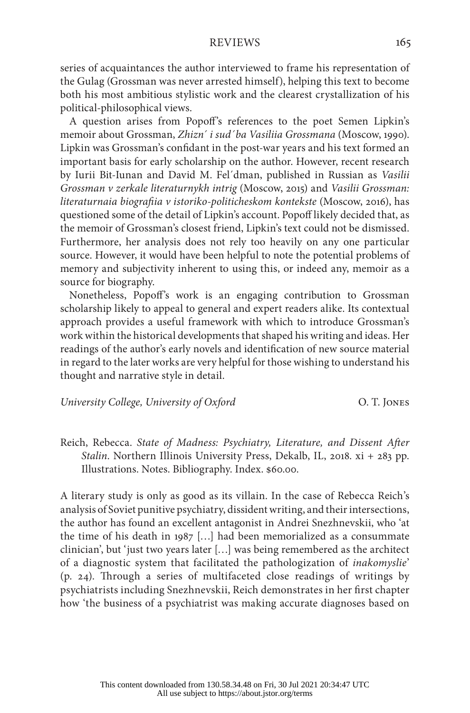### REVIEWS 165

series of acquaintances the author interviewed to frame his representation of the Gulag (Grossman was never arrested himself), helping this text to become both his most ambitious stylistic work and the clearest crystallization of his political-philosophical views.

A question arises from Popoff's references to the poet Semen Lipkin's memoir about Grossman, *Zhizn´ i sud´ba Vasiliia Grossmana* (Moscow, 1990). Lipkin was Grossman's confidant in the post-war years and his text formed an important basis for early scholarship on the author. However, recent research by Iurii Bit-Iunan and David M. Fel´dman, published in Russian as *Vasilii Grossman v zerkale literaturnykh intrig* (Moscow, 2015) and *Vasilii Grossman: literaturnaia biografiia v istoriko-politicheskom kontekste* (Moscow, 2016), has questioned some of the detail of Lipkin's account. Popoff likely decided that, as the memoir of Grossman's closest friend, Lipkin's text could not be dismissed. Furthermore, her analysis does not rely too heavily on any one particular source. However, it would have been helpful to note the potential problems of memory and subjectivity inherent to using this, or indeed any, memoir as a source for biography.

Nonetheless, Popoff's work is an engaging contribution to Grossman scholarship likely to appeal to general and expert readers alike. Its contextual approach provides a useful framework with which to introduce Grossman's work within the historical developments that shaped his writing and ideas. Her readings of the author's early novels and identification of new source material in regard to the later works are very helpful for those wishing to understand his thought and narrative style in detail.

#### *University College, University of Oxford* O. T. Jones

Reich, Rebecca. *State of Madness: Psychiatry, Literature, and Dissent After Stalin*. Northern Illinois University Press, Dekalb, IL, 2018. xi + 283 pp. Illustrations. Notes. Bibliography. Index. \$60.00.

A literary study is only as good as its villain. In the case of Rebecca Reich's analysis of Soviet punitive psychiatry, dissident writing, and their intersections, the author has found an excellent antagonist in Andrei Snezhnevskii, who 'at the time of his death in 1987 […] had been memorialized as a consummate clinician', but 'just two years later […] was being remembered as the architect of a diagnostic system that facilitated the pathologization of *inakomyslie*' (p. 24). Through a series of multifaceted close readings of writings by psychiatrists including Snezhnevskii, Reich demonstrates in her first chapter how 'the business of a psychiatrist was making accurate diagnoses based on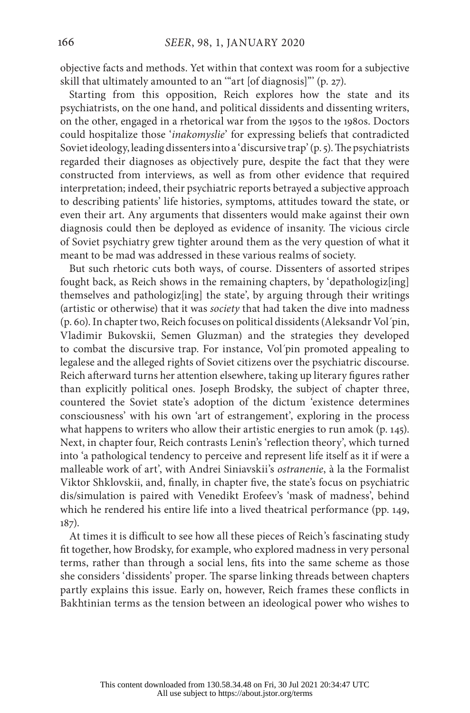objective facts and methods. Yet within that context was room for a subjective skill that ultimately amounted to an '"art [of diagnosis]"' (p. 27).

Starting from this opposition, Reich explores how the state and its psychiatrists, on the one hand, and political dissidents and dissenting writers, on the other, engaged in a rhetorical war from the 1950s to the 1980s. Doctors could hospitalize those '*inakomyslie*' for expressing beliefs that contradicted Soviet ideology, leading dissenters into a 'discursive trap' (p. 5). The psychiatrists regarded their diagnoses as objectively pure, despite the fact that they were constructed from interviews, as well as from other evidence that required interpretation; indeed, their psychiatric reports betrayed a subjective approach to describing patients' life histories, symptoms, attitudes toward the state, or even their art. Any arguments that dissenters would make against their own diagnosis could then be deployed as evidence of insanity. The vicious circle of Soviet psychiatry grew tighter around them as the very question of what it meant to be mad was addressed in these various realms of society.

But such rhetoric cuts both ways, of course. Dissenters of assorted stripes fought back, as Reich shows in the remaining chapters, by 'depathologiz[ing] themselves and pathologiz[ing] the state', by arguing through their writings (artistic or otherwise) that it was *society* that had taken the dive into madness (p. 60). In chapter two, Reich focuses on political dissidents (Aleksandr Vol´pin, Vladimir Bukovskii, Semen Gluzman) and the strategies they developed to combat the discursive trap. For instance, Vol´pin promoted appealing to legalese and the alleged rights of Soviet citizens over the psychiatric discourse. Reich afterward turns her attention elsewhere, taking up literary figures rather than explicitly political ones. Joseph Brodsky, the subject of chapter three, countered the Soviet state's adoption of the dictum 'existence determines consciousness' with his own 'art of estrangement', exploring in the process what happens to writers who allow their artistic energies to run amok (p. 145). Next, in chapter four, Reich contrasts Lenin's 'reflection theory', which turned into 'a pathological tendency to perceive and represent life itself as it if were a malleable work of art', with Andrei Siniavskii's *ostranenie*, à la the Formalist Viktor Shklovskii, and, finally, in chapter five, the state's focus on psychiatric dis/simulation is paired with Venedikt Erofeev's 'mask of madness', behind which he rendered his entire life into a lived theatrical performance (pp. 149, 187).

At times it is difficult to see how all these pieces of Reich's fascinating study fit together, how Brodsky, for example, who explored madness in very personal terms, rather than through a social lens, fits into the same scheme as those she considers 'dissidents' proper. The sparse linking threads between chapters partly explains this issue. Early on, however, Reich frames these conflicts in Bakhtinian terms as the tension between an ideological power who wishes to